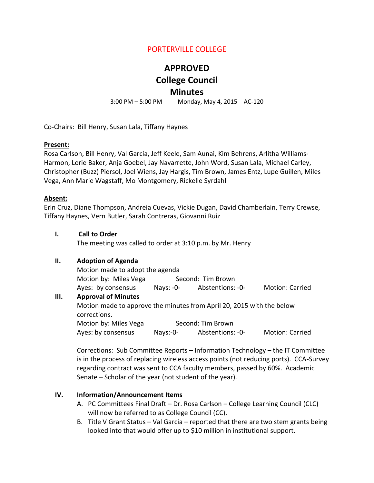# PORTERVILLE COLLEGE

# **APPROVED**

# **College Council**

# **Minutes**

3:00 PM – 5:00 PM Monday, May 4, 2015 AC-120

Co-Chairs: Bill Henry, Susan Lala, Tiffany Haynes

#### **Present:**

Rosa Carlson, Bill Henry, Val Garcia, Jeff Keele, Sam Aunai, Kim Behrens, Arlitha Williams-Harmon, Lorie Baker, Anja Goebel, Jay Navarrette, John Word, Susan Lala, Michael Carley, Christopher (Buzz) Piersol, Joel Wiens, Jay Hargis, Tim Brown, James Entz, Lupe Guillen, Miles Vega, Ann Marie Wagstaff, Mo Montgomery, Rickelle Syrdahl

#### **Absent:**

Erin Cruz, Diane Thompson, Andreia Cuevas, Vickie Dugan, David Chamberlain, Terry Crewse, Tiffany Haynes, Vern Butler, Sarah Contreras, Giovanni Ruiz

**I. Call to Order**

The meeting was called to order at 3:10 p.m. by Mr. Henry

#### **II. Adoption of Agenda**

Motion made to adopt the agenda Motion by: Miles Vega Second: Tim Brown Ayes: by consensus Nays: -0- Abstentions: -0- Motion: Carried

#### **III. Approval of Minutes**

Motion made to approve the minutes from April 20, 2015 with the below corrections.

Motion by: Miles Vega Second: Tim Brown Ayes: by consensus Nays:-0- Abstentions: -0- Motion: Carried

Corrections: Sub Committee Reports – Information Technology – the IT Committee is in the process of replacing wireless access points (not reducing ports). CCA-Survey regarding contract was sent to CCA faculty members, passed by 60%. Academic Senate – Scholar of the year (not student of the year).

#### **IV. Information/Announcement Items**

- A. PC Committees Final Draft Dr. Rosa Carlson College Learning Council (CLC) will now be referred to as College Council (CC).
- B. Title V Grant Status Val Garcia reported that there are two stem grants being looked into that would offer up to \$10 million in institutional support.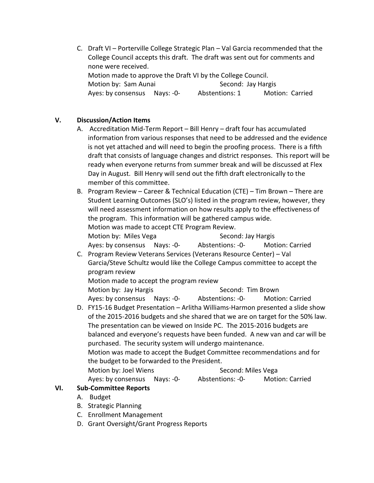C. Draft VI – Porterville College Strategic Plan – Val Garcia recommended that the College Council accepts this draft. The draft was sent out for comments and none were received. Motion made to approve the Draft VI by the College Council. Motion by: Sam Aunai Second: Jay Hargis Ayes: by consensus Nays: -0- Abstentions: 1 Motion: Carried

### **V. Discussion/Action Items**

- A. Accreditation Mid-Term Report Bill Henry draft four has accumulated information from various responses that need to be addressed and the evidence is not yet attached and will need to begin the proofing process. There is a fifth draft that consists of language changes and district responses. This report will be ready when everyone returns from summer break and will be discussed at Flex Day in August. Bill Henry will send out the fifth draft electronically to the member of this committee.
- B. Program Review Career & Technical Education (CTE) Tim Brown There are Student Learning Outcomes (SLO's) listed in the program review, however, they will need assessment information on how results apply to the effectiveness of the program. This information will be gathered campus wide. Motion was made to accept CTE Program Review. Motion by: Miles Vega Second: Jay Hargis Ayes: by consensus Nays: -0- Abstentions: -0- Motion: Carried
- C. Program Review Veterans Services (Veterans Resource Center) Val Garcia/Steve Schultz would like the College Campus committee to accept the program review Motion made to accept the program review
	- Motion by: Jay Hargis Second: Tim Brown

Ayes: by consensus Nays: -0- Abstentions: -0- Motion: Carried

D. FY15-16 Budget Presentation – Arlitha Williams-Harmon presented a slide show of the 2015-2016 budgets and she shared that we are on target for the 50% law. The presentation can be viewed on Inside PC. The 2015-2016 budgets are balanced and everyone's requests have been funded. A new van and car will be purchased. The security system will undergo maintenance. Motion was made to accept the Budget Committee recommendations and for the budget to be forwarded to the President. Motion by: Joel Wiens Second: Miles Vega Ayes: by consensus Nays: -0- Abstentions: -0- Motion: Carried

#### **VI. Sub-Committee Reports**

- A. Budget
- B. Strategic Planning
- C. Enrollment Management
- D. Grant Oversight/Grant Progress Reports